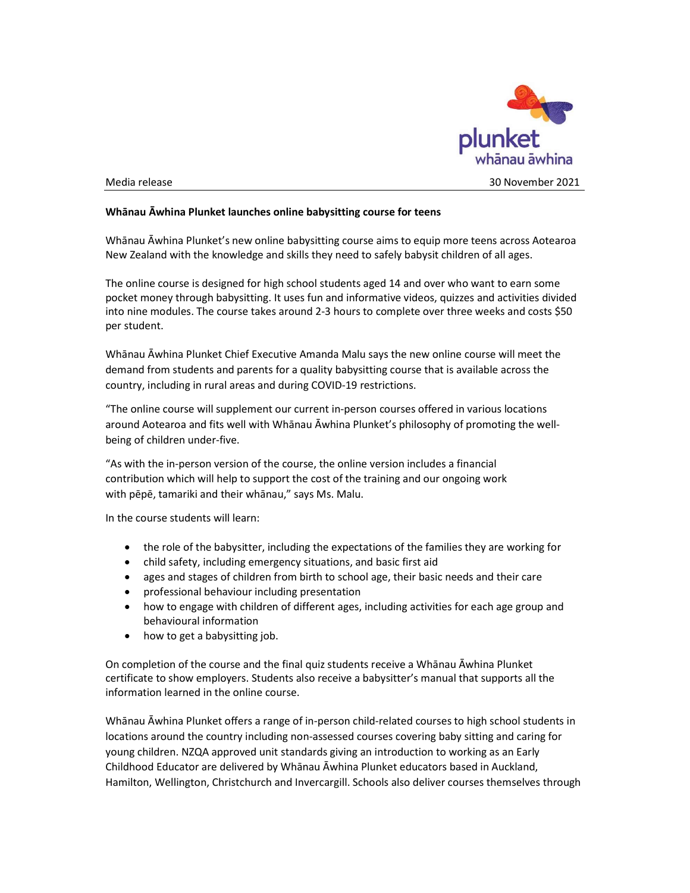

## Whānau Āwhina Plunket launches online babysitting course for teens

Whānau Āwhina Plunket's new online babysitting course aims to equip more teens across Aotearoa New Zealand with the knowledge and skills they need to safely babysit children of all ages.

The online course is designed for high school students aged 14 and over who want to earn some pocket money through babysitting. It uses fun and informative videos, quizzes and activities divided into nine modules. The course takes around 2-3 hours to complete over three weeks and costs \$50 per student.

Whānau Āwhina Plunket Chief Executive Amanda Malu says the new online course will meet the demand from students and parents for a quality babysitting course that is available across the country, including in rural areas and during COVID-19 restrictions.

"The online course will supplement our current in-person courses offered in various locations around Aotearoa and fits well with Whānau Āwhina Plunket's philosophy of promoting the wellbeing of children under-five.

"As with the in-person version of the course, the online version includes a financial contribution which will help to support the cost of the training and our ongoing work with pēpē, tamariki and their whānau," says Ms. Malu.

In the course students will learn:

- the role of the babysitter, including the expectations of the families they are working for
- child safety, including emergency situations, and basic first aid
- ages and stages of children from birth to school age, their basic needs and their care
- professional behaviour including presentation
- how to engage with children of different ages, including activities for each age group and behavioural information
- how to get a babysitting job.

On completion of the course and the final quiz students receive a Whānau Āwhina Plunket certificate to show employers. Students also receive a babysitter's manual that supports all the information learned in the online course.

Whānau Āwhina Plunket offers a range of in-person child-related courses to high school students in locations around the country including non-assessed courses covering baby sitting and caring for young children. NZQA approved unit standards giving an introduction to working as an Early Childhood Educator are delivered by Whānau Āwhina Plunket educators based in Auckland, Hamilton, Wellington, Christchurch and Invercargill. Schools also deliver courses themselves through